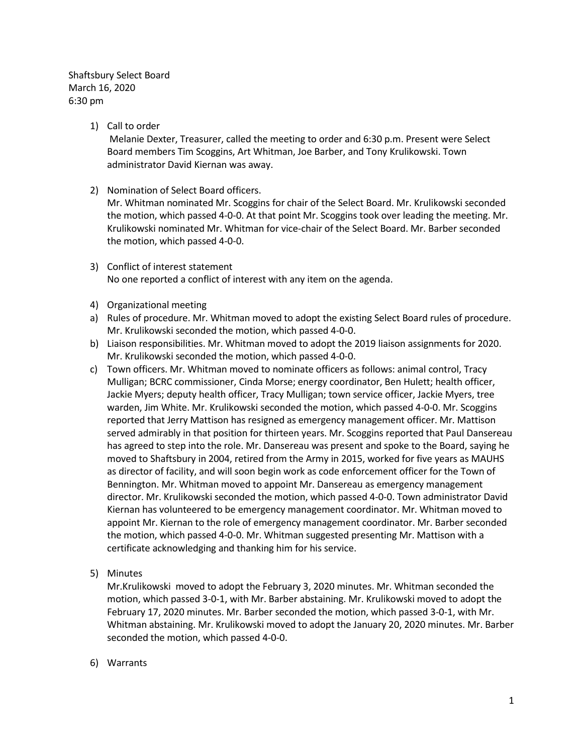Shaftsbury Select Board March 16, 2020 6:30 pm

1) Call to order

Melanie Dexter, Treasurer, called the meeting to order and 6:30 p.m. Present were Select Board members Tim Scoggins, Art Whitman, Joe Barber, and Tony Krulikowski. Town administrator David Kiernan was away.

2) Nomination of Select Board officers.

Mr. Whitman nominated Mr. Scoggins for chair of the Select Board. Mr. Krulikowski seconded the motion, which passed 4-0-0. At that point Mr. Scoggins took over leading the meeting. Mr. Krulikowski nominated Mr. Whitman for vice-chair of the Select Board. Mr. Barber seconded the motion, which passed 4-0-0.

- 3) Conflict of interest statement No one reported a conflict of interest with any item on the agenda.
- 4) Organizational meeting
- a) Rules of procedure. Mr. Whitman moved to adopt the existing Select Board rules of procedure. Mr. Krulikowski seconded the motion, which passed 4-0-0.
- b) Liaison responsibilities. Mr. Whitman moved to adopt the 2019 liaison assignments for 2020. Mr. Krulikowski seconded the motion, which passed 4-0-0.
- c) Town officers. Mr. Whitman moved to nominate officers as follows: animal control, Tracy Mulligan; BCRC commissioner, Cinda Morse; energy coordinator, Ben Hulett; health officer, Jackie Myers; deputy health officer, Tracy Mulligan; town service officer, Jackie Myers, tree warden, Jim White. Mr. Krulikowski seconded the motion, which passed 4-0-0. Mr. Scoggins reported that Jerry Mattison has resigned as emergency management officer. Mr. Mattison served admirably in that position for thirteen years. Mr. Scoggins reported that Paul Dansereau has agreed to step into the role. Mr. Dansereau was present and spoke to the Board, saying he moved to Shaftsbury in 2004, retired from the Army in 2015, worked for five years as MAUHS as director of facility, and will soon begin work as code enforcement officer for the Town of Bennington. Mr. Whitman moved to appoint Mr. Dansereau as emergency management director. Mr. Krulikowski seconded the motion, which passed 4-0-0. Town administrator David Kiernan has volunteered to be emergency management coordinator. Mr. Whitman moved to appoint Mr. Kiernan to the role of emergency management coordinator. Mr. Barber seconded the motion, which passed 4-0-0. Mr. Whitman suggested presenting Mr. Mattison with a certificate acknowledging and thanking him for his service.
- 5) Minutes

Mr.Krulikowski moved to adopt the February 3, 2020 minutes. Mr. Whitman seconded the motion, which passed 3-0-1, with Mr. Barber abstaining. Mr. Krulikowski moved to adopt the February 17, 2020 minutes. Mr. Barber seconded the motion, which passed 3-0-1, with Mr. Whitman abstaining. Mr. Krulikowski moved to adopt the January 20, 2020 minutes. Mr. Barber seconded the motion, which passed 4-0-0.

6) Warrants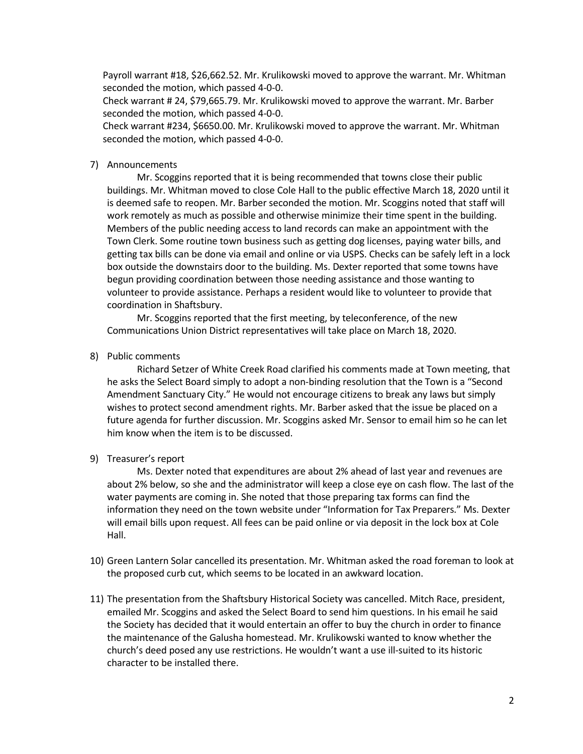Payroll warrant #18, \$26,662.52. Mr. Krulikowski moved to approve the warrant. Mr. Whitman seconded the motion, which passed 4-0-0.

Check warrant # 24, \$79,665.79. Mr. Krulikowski moved to approve the warrant. Mr. Barber seconded the motion, which passed 4-0-0.

Check warrant #234, \$6650.00. Mr. Krulikowski moved to approve the warrant. Mr. Whitman seconded the motion, which passed 4-0-0.

#### 7) Announcements

Mr. Scoggins reported that it is being recommended that towns close their public buildings. Mr. Whitman moved to close Cole Hall to the public effective March 18, 2020 until it is deemed safe to reopen. Mr. Barber seconded the motion. Mr. Scoggins noted that staff will work remotely as much as possible and otherwise minimize their time spent in the building. Members of the public needing access to land records can make an appointment with the Town Clerk. Some routine town business such as getting dog licenses, paying water bills, and getting tax bills can be done via email and online or via USPS. Checks can be safely left in a lock box outside the downstairs door to the building. Ms. Dexter reported that some towns have begun providing coordination between those needing assistance and those wanting to volunteer to provide assistance. Perhaps a resident would like to volunteer to provide that coordination in Shaftsbury.

Mr. Scoggins reported that the first meeting, by teleconference, of the new Communications Union District representatives will take place on March 18, 2020.

8) Public comments

Richard Setzer of White Creek Road clarified his comments made at Town meeting, that he asks the Select Board simply to adopt a non-binding resolution that the Town is a "Second Amendment Sanctuary City." He would not encourage citizens to break any laws but simply wishes to protect second amendment rights. Mr. Barber asked that the issue be placed on a future agenda for further discussion. Mr. Scoggins asked Mr. Sensor to email him so he can let him know when the item is to be discussed.

9) Treasurer's report

Ms. Dexter noted that expenditures are about 2% ahead of last year and revenues are about 2% below, so she and the administrator will keep a close eye on cash flow. The last of the water payments are coming in. She noted that those preparing tax forms can find the information they need on the town website under "Information for Tax Preparers." Ms. Dexter will email bills upon request. All fees can be paid online or via deposit in the lock box at Cole Hall.

- 10) Green Lantern Solar cancelled its presentation. Mr. Whitman asked the road foreman to look at the proposed curb cut, which seems to be located in an awkward location.
- 11) The presentation from the Shaftsbury Historical Society was cancelled. Mitch Race, president, emailed Mr. Scoggins and asked the Select Board to send him questions. In his email he said the Society has decided that it would entertain an offer to buy the church in order to finance the maintenance of the Galusha homestead. Mr. Krulikowski wanted to know whether the church's deed posed any use restrictions. He wouldn't want a use ill-suited to its historic character to be installed there.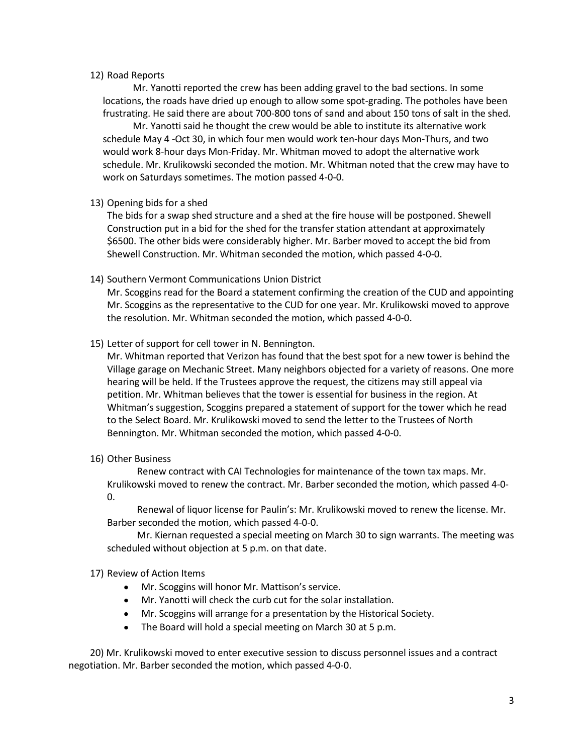## 12) Road Reports

Mr. Yanotti reported the crew has been adding gravel to the bad sections. In some locations, the roads have dried up enough to allow some spot-grading. The potholes have been frustrating. He said there are about 700-800 tons of sand and about 150 tons of salt in the shed.

Mr. Yanotti said he thought the crew would be able to institute its alternative work schedule May 4 -Oct 30, in which four men would work ten-hour days Mon-Thurs, and two would work 8-hour days Mon-Friday. Mr. Whitman moved to adopt the alternative work schedule. Mr. Krulikowski seconded the motion. Mr. Whitman noted that the crew may have to work on Saturdays sometimes. The motion passed 4-0-0.

## 13) Opening bids for a shed

The bids for a swap shed structure and a shed at the fire house will be postponed. Shewell Construction put in a bid for the shed for the transfer station attendant at approximately \$6500. The other bids were considerably higher. Mr. Barber moved to accept the bid from Shewell Construction. Mr. Whitman seconded the motion, which passed 4-0-0.

## 14) Southern Vermont Communications Union District

Mr. Scoggins read for the Board a statement confirming the creation of the CUD and appointing Mr. Scoggins as the representative to the CUD for one year. Mr. Krulikowski moved to approve the resolution. Mr. Whitman seconded the motion, which passed 4-0-0.

## 15) Letter of support for cell tower in N. Bennington.

Mr. Whitman reported that Verizon has found that the best spot for a new tower is behind the Village garage on Mechanic Street. Many neighbors objected for a variety of reasons. One more hearing will be held. If the Trustees approve the request, the citizens may still appeal via petition. Mr. Whitman believes that the tower is essential for business in the region. At Whitman's suggestion, Scoggins prepared a statement of support for the tower which he read to the Select Board. Mr. Krulikowski moved to send the letter to the Trustees of North Bennington. Mr. Whitman seconded the motion, which passed 4-0-0.

#### 16) Other Business

Renew contract with CAI Technologies for maintenance of the town tax maps. Mr. Krulikowski moved to renew the contract. Mr. Barber seconded the motion, which passed 4-0- 0.

Renewal of liquor license for Paulin's: Mr. Krulikowski moved to renew the license. Mr. Barber seconded the motion, which passed 4-0-0.

Mr. Kiernan requested a special meeting on March 30 to sign warrants. The meeting was scheduled without objection at 5 p.m. on that date.

# 17) Review of Action Items

- Mr. Scoggins will honor Mr. Mattison's service.
- Mr. Yanotti will check the curb cut for the solar installation.
- Mr. Scoggins will arrange for a presentation by the Historical Society.
- The Board will hold a special meeting on March 30 at 5 p.m.

20) Mr. Krulikowski moved to enter executive session to discuss personnel issues and a contract negotiation. Mr. Barber seconded the motion, which passed 4-0-0.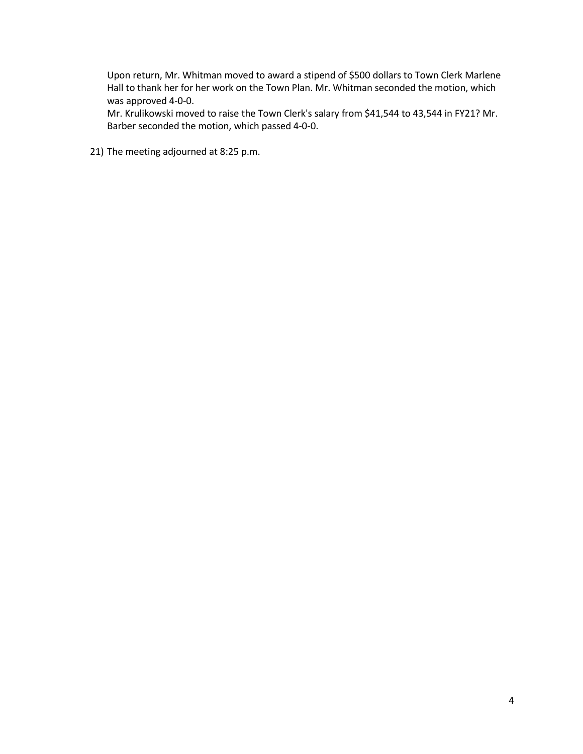Upon return, Mr. Whitman moved to award a stipend of \$500 dollars to Town Clerk Marlene Hall to thank her for her work on the Town Plan. Mr. Whitman seconded the motion, which was approved 4-0-0.

Mr. Krulikowski moved to raise the Town Clerk's salary from \$41,544 to 43,544 in FY21? Mr. Barber seconded the motion, which passed 4-0-0.

21) The meeting adjourned at 8:25 p.m.